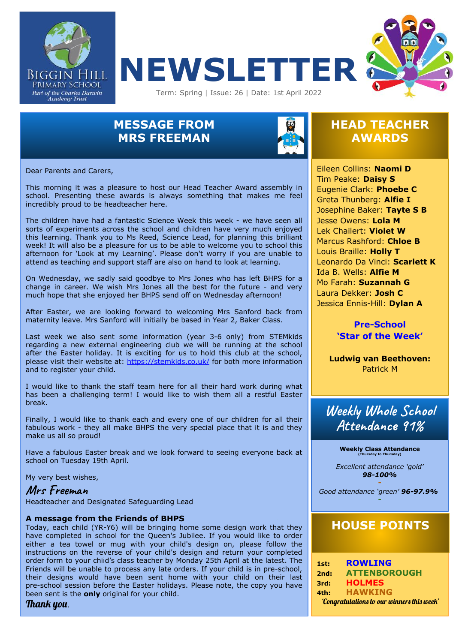





## **MESSAGE FROM MRS FREEMAN**



## **HEAD TEACHER AWARDS**

Dear Parents and Carers,

 incredibly proud to be headteacher here. This morning it was a pleasure to host our Head Teacher Award assembly in school. Presenting these awards is always something that makes me feel

The children have had a fantastic Science Week this week - we have seen all sorts of experiments across the school and children have very much enjoyed this learning. Thank you to Ms Reed, Science Lead, for planning this brilliant week! It will also be a pleasure for us to be able to welcome you to school this afternoon for 'Look at my Learning'. Please don't worry if you are unable to attend as teaching and support staff are also on hand to look at learning.

On Wednesday, we sadly said goodbye to Mrs Jones who has left BHPS for a change in career. We wish Mrs Jones all the best for the future - and very much hope that she enjoyed her BHPS send off on Wednesday afternoon!

After Easter, we are looking forward to welcoming Mrs Sanford back from maternity leave. Mrs Sanford will initially be based in Year 2, Baker Class.

Last week we also sent some information (year 3-6 only) from STEMkids regarding a new external engineering club we will be running at the school after the Easter holiday. It is exciting for us to hold this club at the school, please visit their website at:<https://stemkids.co.uk/>for both more information and to register your child.

I would like to thank the staff team here for all their hard work during what has been a challenging term! I would like to wish them all a restful Easter break.

Finally, I would like to thank each and every one of our children for all their fabulous work - they all make BHPS the very special place that it is and they make us all so proud!

Have a fabulous Easter break and we look forward to seeing everyone back at school on Tuesday 19th April.

My very best wishes,

### **Mrs Freeman**

Headteacher and Designated Safeguarding Lead

#### **A message from the Friends of BHPS**

Today, each child (YR-Y6) will be bringing home some design work that they have completed in school for the Queen's Jubilee. If you would like to order either a tea towel or mug with your child's design on, please follow the instructions on the reverse of your child's design and return your completed order form to your child's class teacher by Monday 25th April at the latest. The Friends will be unable to process any late orders. If your child is in pre-school, their designs would have been sent home with your child on their last pre-school session before the Easter holidays. Please note, the copy you have been sent is the **only** original for your child.

Thank you.

 Marcus Rashford: **Chloe B** Eileen Collins: **Naomi D** Tim Peake: **Daisy S** Eugenie Clark: **Phoebe C** Greta Thunberg: **Alfie I** Josephine Baker: **Tayte S B** Jesse Owens: **Lola M** Lek Chailert: **Violet W** Louis Braille: **Holly T** Leonardo Da Vinci: **Scarlett K** Ida B. Wells: **Alfie M** Mo Farah: **Suzannah G** Laura Dekker: **Josh C** Jessica Ennis-Hill: **Dylan A**

> **Pre-School 'Star of the Week'**

**Ludwig van Beethoven:**  Patrick M

## **Weekly Whole School Attendance 91%**

**Weekly Class Attendance (Thursday to Thursday)**

*Excellent attendance 'gold' 98-100%*

**-** *Good attendance 'green' 96-97.9%* **-**

## **HOUSE POINTS**

**1st: ROWLING 2nd: ATTENBOROUGH 3rd: HOLMES 4th: HAWKING** 'Congratulations to our winners this week'